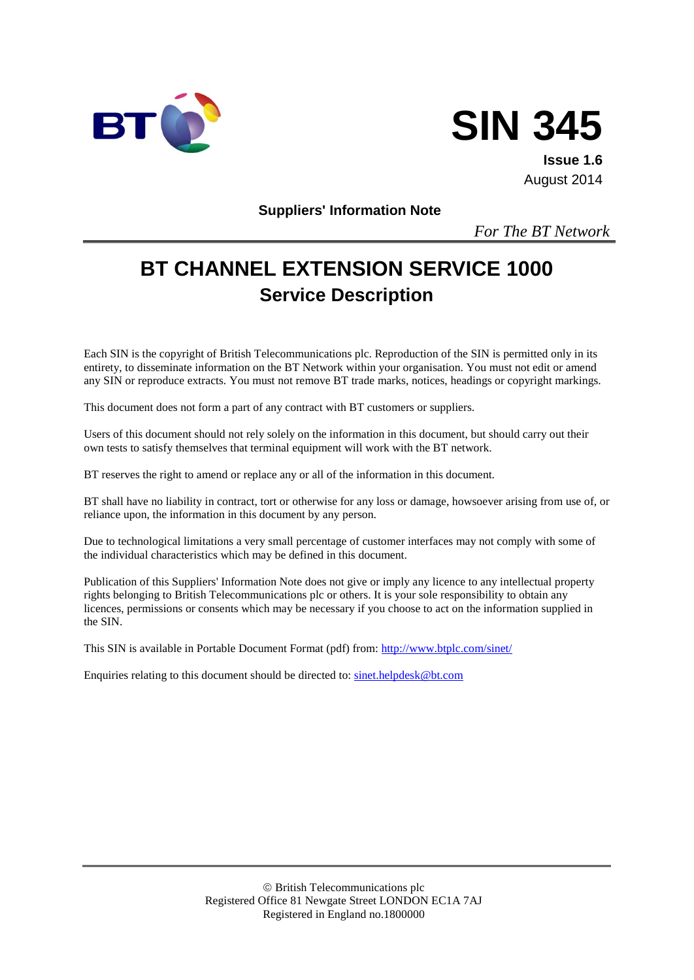



**Issue 1.6** August 2014

**Suppliers' Information Note**

*For The BT Network*

# **BT CHANNEL EXTENSION SERVICE 1000 Service Description**

Each SIN is the copyright of British Telecommunications plc. Reproduction of the SIN is permitted only in its entirety, to disseminate information on the BT Network within your organisation. You must not edit or amend any SIN or reproduce extracts. You must not remove BT trade marks, notices, headings or copyright markings.

This document does not form a part of any contract with BT customers or suppliers.

Users of this document should not rely solely on the information in this document, but should carry out their own tests to satisfy themselves that terminal equipment will work with the BT network.

BT reserves the right to amend or replace any or all of the information in this document.

BT shall have no liability in contract, tort or otherwise for any loss or damage, howsoever arising from use of, or reliance upon, the information in this document by any person.

Due to technological limitations a very small percentage of customer interfaces may not comply with some of the individual characteristics which may be defined in this document.

Publication of this Suppliers' Information Note does not give or imply any licence to any intellectual property rights belonging to British Telecommunications plc or others. It is your sole responsibility to obtain any licences, permissions or consents which may be necessary if you choose to act on the information supplied in the SIN.

This SIN is available in Portable Document Format (pdf) from:<http://www.btplc.com/sinet/>

Enquiries relating to this document should be directed to: [sinet.helpdesk@bt.com](mailto:sinet.helpdesk@bt.com)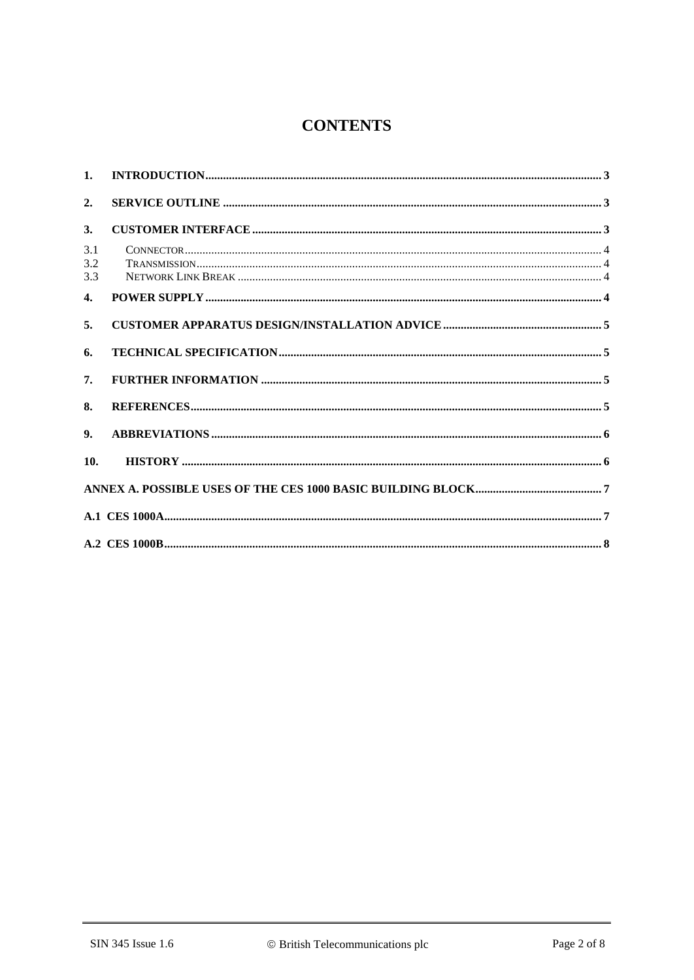# **CONTENTS**

| 1.                |  |
|-------------------|--|
| 2.                |  |
| 3.                |  |
| 3.1<br>3.2<br>3.3 |  |
| 4.                |  |
| 5.                |  |
| 6.                |  |
| 7.                |  |
| 8.                |  |
| 9.                |  |
| 10.               |  |
|                   |  |
|                   |  |
|                   |  |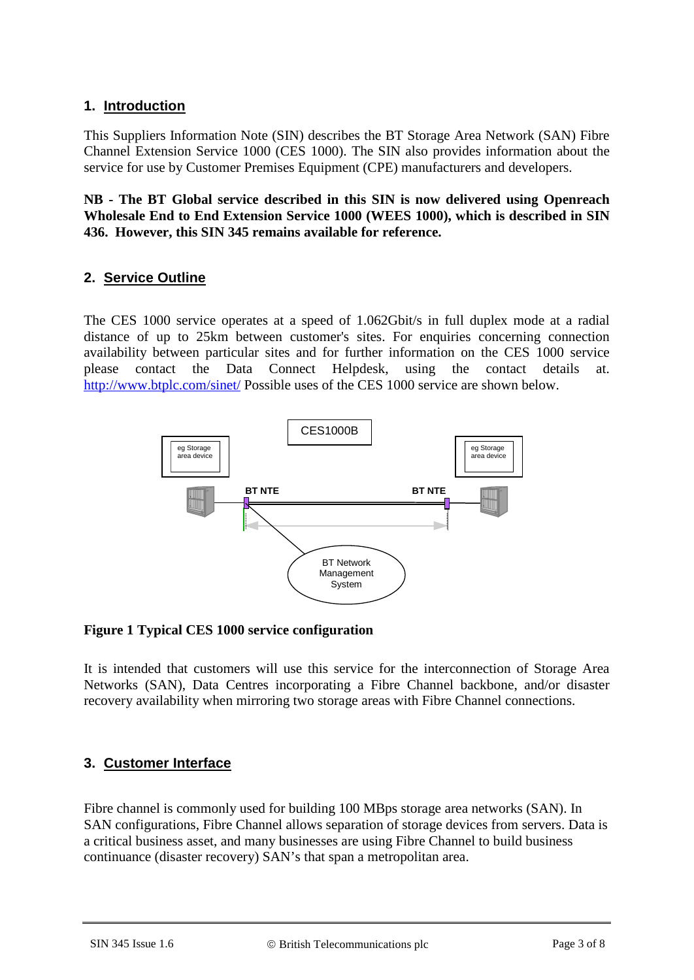# **1. Introduction**

This Suppliers Information Note (SIN) describes the BT Storage Area Network (SAN) Fibre Channel Extension Service 1000 (CES 1000). The SIN also provides information about the service for use by Customer Premises Equipment (CPE) manufacturers and developers.

**NB - The BT Global service described in this SIN is now delivered using Openreach Wholesale End to End Extension Service 1000 (WEES 1000), which is described in SIN 436. However, this SIN 345 remains available for reference.**

# **2. Service Outline**

The CES 1000 service operates at a speed of 1.062Gbit/s in full duplex mode at a radial distance of up to 25km between customer's sites. For enquiries concerning connection availability between particular sites and for further information on the CES 1000 service please contact the Data Connect Helpdesk, using the contact details at. <http://www.btplc.com/sinet/> Possible uses of the CES 1000 service are shown below.



#### **Figure 1 Typical CES 1000 service configuration**

It is intended that customers will use this service for the interconnection of Storage Area Networks (SAN), Data Centres incorporating a Fibre Channel backbone, and/or disaster recovery availability when mirroring two storage areas with Fibre Channel connections.

# **3. Customer Interface**

Fibre channel is commonly used for building 100 MBps storage area networks (SAN). In SAN configurations, Fibre Channel allows separation of storage devices from servers. Data is a critical business asset, and many businesses are using Fibre Channel to build business continuance (disaster recovery) SAN's that span a metropolitan area.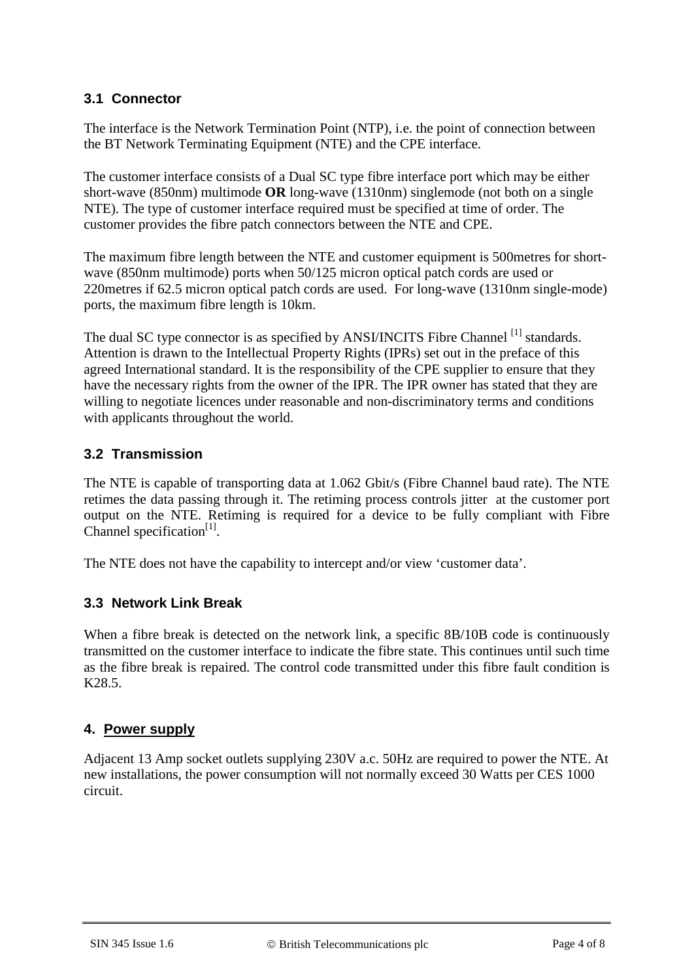# **3.1 Connector**

The interface is the Network Termination Point (NTP), i.e. the point of connection between the BT Network Terminating Equipment (NTE) and the CPE interface.

The customer interface consists of a Dual SC type fibre interface port which may be either short-wave (850nm) multimode **OR** long-wave (1310nm) singlemode (not both on a single NTE). The type of customer interface required must be specified at time of order. The customer provides the fibre patch connectors between the NTE and CPE.

The maximum fibre length between the NTE and customer equipment is 500metres for shortwave (850nm multimode) ports when 50/125 micron optical patch cords are used or 220metres if 62.5 micron optical patch cords are used. For long-wave (1310nm single-mode) ports, the maximum fibre length is 10km.

The dual SC type connector is as specified by ANSI/INCITS Fibre Channel [1] standards. Attention is drawn to the Intellectual Property Rights (IPRs) set out in the preface of this agreed International standard. It is the responsibility of the CPE supplier to ensure that they have the necessary rights from the owner of the IPR. The IPR owner has stated that they are willing to negotiate licences under reasonable and non-discriminatory terms and conditions with applicants throughout the world.

# **3.2 Transmission**

The NTE is capable of transporting data at 1.062 Gbit/s (Fibre Channel baud rate). The NTE retimes the data passing through it. The retiming process controls jitter at the customer port output on the NTE. Retiming is required for a device to be fully compliant with Fibre Channel specification $[1]$ .

The NTE does not have the capability to intercept and/or view 'customer data'.

# **3.3 Network Link Break**

When a fibre break is detected on the network link, a specific 8B/10B code is continuously transmitted on the customer interface to indicate the fibre state. This continues until such time as the fibre break is repaired. The control code transmitted under this fibre fault condition is K28.5.

# **4. Power supply**

Adjacent 13 Amp socket outlets supplying 230V a.c. 50Hz are required to power the NTE. At new installations, the power consumption will not normally exceed 30 Watts per CES 1000 circuit.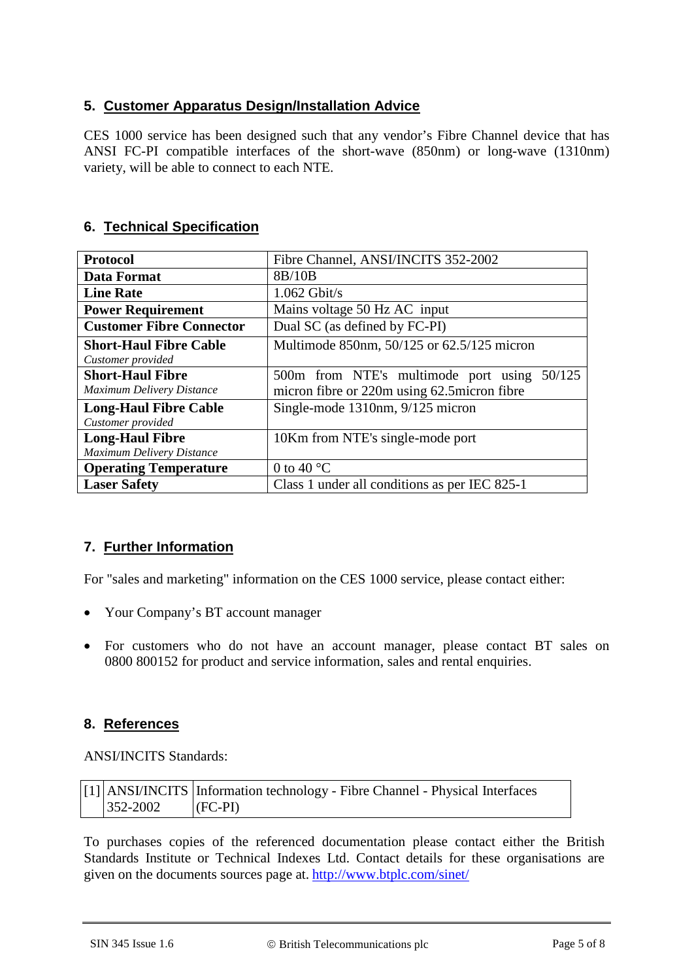# **5. Customer Apparatus Design/Installation Advice**

CES 1000 service has been designed such that any vendor's Fibre Channel device that has ANSI FC-PI compatible interfaces of the short-wave (850nm) or long-wave (1310nm) variety, will be able to connect to each NTE.

# **6. Technical Specification**

| <b>Protocol</b>                  | Fibre Channel, ANSI/INCITS 352-2002            |
|----------------------------------|------------------------------------------------|
| Data Format                      | 8B/10B                                         |
| <b>Line Rate</b>                 | $1.062$ Gbit/s                                 |
| <b>Power Requirement</b>         | Mains voltage 50 Hz AC input                   |
| <b>Customer Fibre Connector</b>  | Dual SC (as defined by FC-PI)                  |
| <b>Short-Haul Fibre Cable</b>    | Multimode 850nm, 50/125 or 62.5/125 micron     |
| Customer provided                |                                                |
| <b>Short-Haul Fibre</b>          | 50/125<br>500m from NTE's multimode port using |
| <b>Maximum Delivery Distance</b> | micron fibre or 220m using 62.5 micron fibre   |
| <b>Long-Haul Fibre Cable</b>     | Single-mode 1310nm, 9/125 micron               |
| Customer provided                |                                                |
| <b>Long-Haul Fibre</b>           | 10Km from NTE's single-mode port               |
| Maximum Delivery Distance        |                                                |
| <b>Operating Temperature</b>     | 0 to 40 $^{\circ}$ C                           |
| <b>Laser Safety</b>              | Class 1 under all conditions as per IEC 825-1  |

# **7. Further Information**

For "sales and marketing" information on the CES 1000 service, please contact either:

- Your Company's BT account manager
- For customers who do not have an account manager, please contact BT sales on 0800 800152 for product and service information, sales and rental enquiries.

# **8. References**

ANSI/INCITS Standards:

|                      | [1] ANSI/INCITS Information technology - Fibre Channel - Physical Interfaces |
|----------------------|------------------------------------------------------------------------------|
| $ 352-2002 $ (FC-PI) |                                                                              |

To purchases copies of the referenced documentation please contact either the British Standards Institute or Technical Indexes Ltd. Contact details for these organisations are given on the documents sources page at. <http://www.btplc.com/sinet/>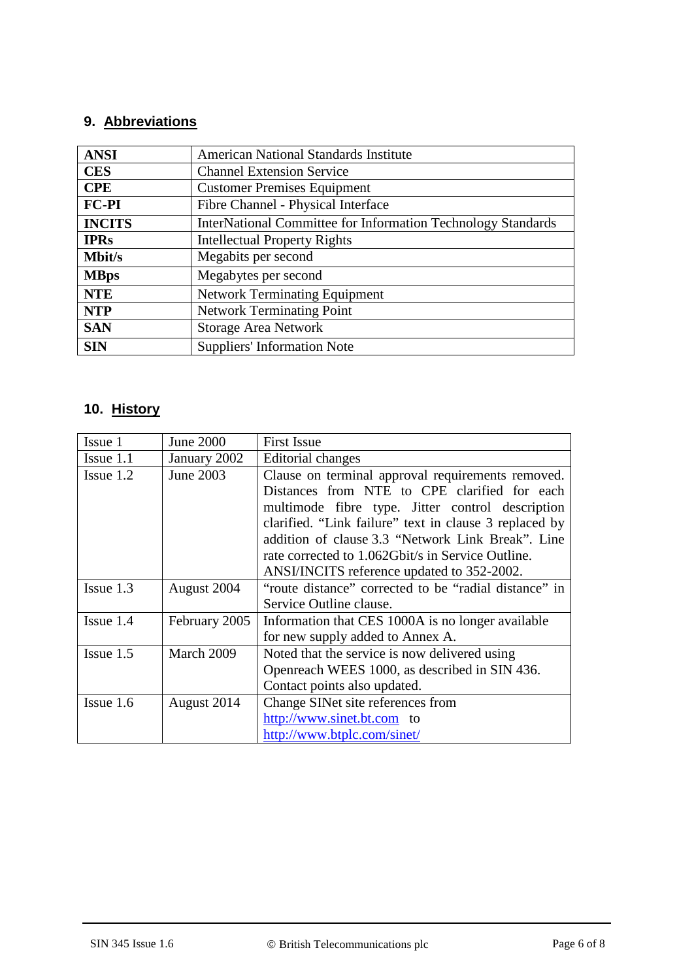# **9. Abbreviations**

| <b>ANSI</b>   | <b>American National Standards Institute</b>                        |  |  |
|---------------|---------------------------------------------------------------------|--|--|
| <b>CES</b>    | <b>Channel Extension Service</b>                                    |  |  |
| <b>CPE</b>    | <b>Customer Premises Equipment</b>                                  |  |  |
| FC-PI         | Fibre Channel - Physical Interface                                  |  |  |
| <b>INCITS</b> | <b>InterNational Committee for Information Technology Standards</b> |  |  |
| <b>IPRs</b>   | <b>Intellectual Property Rights</b>                                 |  |  |
| <b>Mbit/s</b> | Megabits per second                                                 |  |  |
| <b>MBps</b>   | Megabytes per second                                                |  |  |
| <b>NTE</b>    | <b>Network Terminating Equipment</b>                                |  |  |
| <b>NTP</b>    | <b>Network Terminating Point</b>                                    |  |  |
| <b>SAN</b>    | <b>Storage Area Network</b>                                         |  |  |
| <b>SIN</b>    | <b>Suppliers' Information Note</b>                                  |  |  |

# **10. History**

| Issue 1      | <b>June 2000</b> | <b>First Issue</b>                                     |
|--------------|------------------|--------------------------------------------------------|
| Issue $1.1$  | January 2002     | Editorial changes                                      |
| Issue 1.2    | June 2003        | Clause on terminal approval requirements removed.      |
|              |                  | Distances from NTE to CPE clarified for each           |
|              |                  | multimode fibre type. Jitter control description       |
|              |                  | clarified. "Link failure" text in clause 3 replaced by |
|              |                  | addition of clause 3.3 "Network Link Break". Line      |
|              |                  | rate corrected to 1.062Gbit/s in Service Outline.      |
|              |                  | ANSI/INCITS reference updated to 352-2002.             |
| Issue 1.3    | August 2004      | "route distance" corrected to be "radial distance" in  |
|              |                  | Service Outline clause.                                |
| $I$ ssue 1.4 | February 2005    | Information that CES 1000A is no longer available      |
|              |                  | for new supply added to Annex A.                       |
| $Issue$ 1.5  | March 2009       | Noted that the service is now delivered using          |
|              |                  | Openreach WEES 1000, as described in SIN 436.          |
|              |                  | Contact points also updated.                           |
| Issue 1.6    | August 2014      | Change SINet site references from                      |
|              |                  | http://www.sinet.bt.com to                             |
|              |                  | http://www.btplc.com/sinet/                            |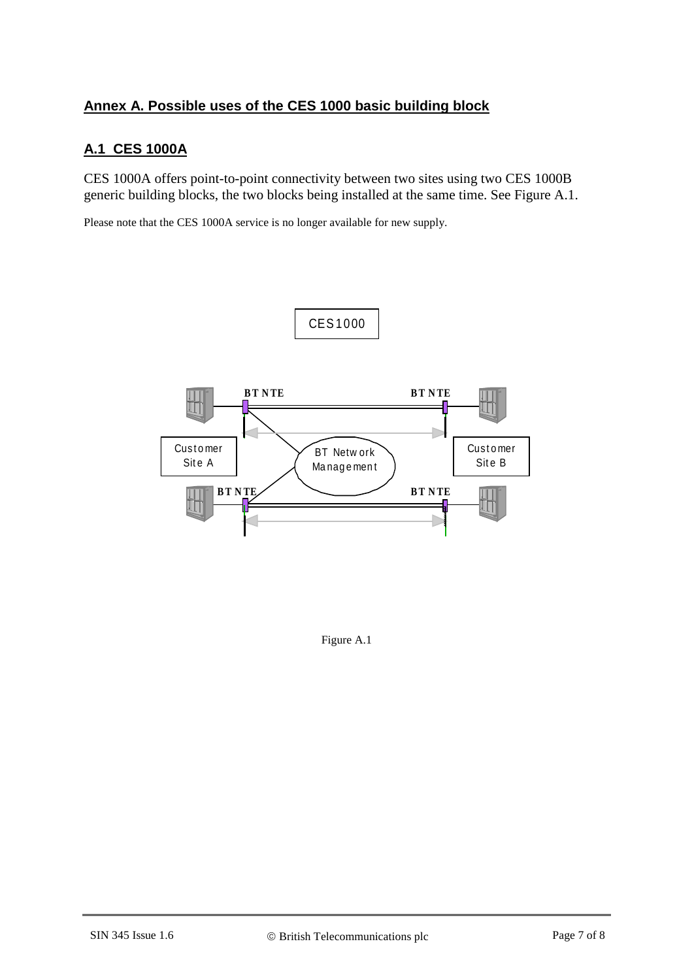# **Annex A. Possible uses of the CES 1000 basic building block**

# **A.1 CES 1000A**

CES 1000A offers point-to-point connectivity between two sites using two CES 1000B generic building blocks, the two blocks being installed at the same time. See Figure A.1.

Please note that the CES 1000A service is no longer available for new supply.



Figure A.1